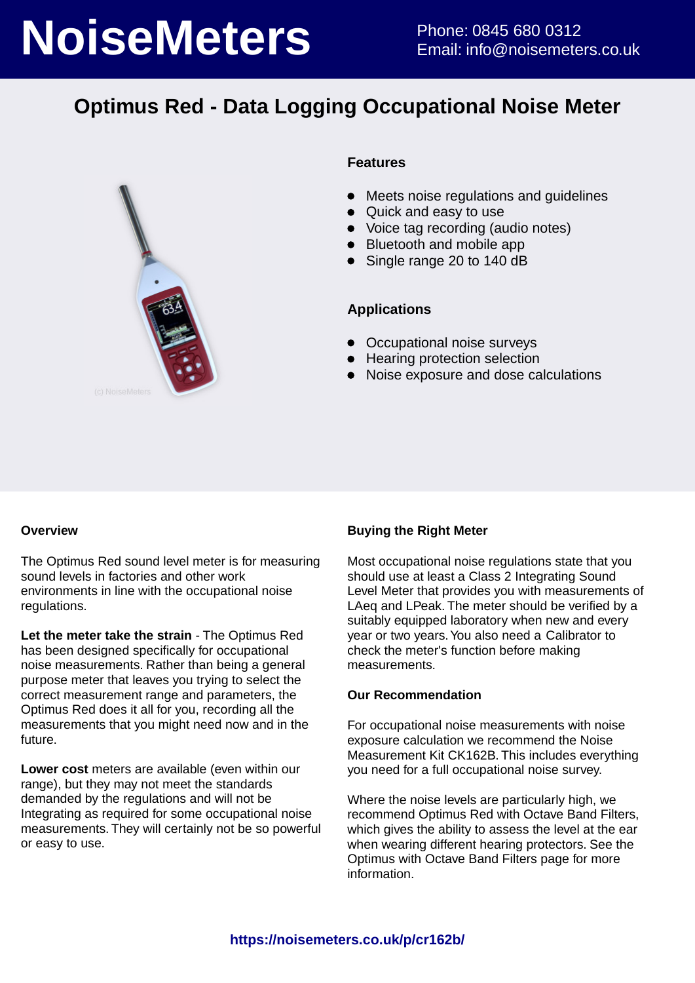# **NoiseMeters** Phone: 0845 680 0312

## **Optimus Red - Data Logging Occupational Noise Meter**



### **Features**

- $\bullet$ Meets noise regulations and guidelines
- Quick and easy to use
- Voice tag recording (audio notes)
- Bluetooth and mobile app
- Single range 20 to 140 dB

### **Applications**

- Occupational noise surveys
- Hearing protection selection
- Noise exposure and dose calculations

### **Overview**

The Optimus Red sound level meter is for measuring sound levels in factories and other work environments in line with the occupational noise regulations.

**Let the meter take the strain** - The Optimus Red has been designed specifically for occupational noise measurements. Rather than being a general purpose meter that leaves you trying to select the correct measurement range and parameters, the Optimus Red does it all for you, recording all the measurements that you might need now and in the future.

**Lower cost** meters are available (even within our range), but they may not meet the standards demanded by the regulations and will not be Integrating as required for some occupational noise measurements. They will certainly not be so powerful or easy to use.

### **Buying the Right Meter**

Most occupational noise regulations state that you should use at least a Class 2 Integrating Sound Level Meter that provides you with measurements of LAeq and LPeak. The meter should be verified by a suitably equipped laboratory when new and every year or two years. You also need a Calibrator to check the meter's function before making measurements.

### **Our Recommendation**

For occupational noise measurements with noise exposure calculation we recommend the Noise Measurement Kit CK162B. This includes everything you need for a full occupational noise survey.

Where the noise levels are particularly high, we recommend Optimus Red with Octave Band Filters, which gives the ability to assess the level at the ear when wearing different hearing protectors. See the Optimus with Octave Band Filters page for more information.